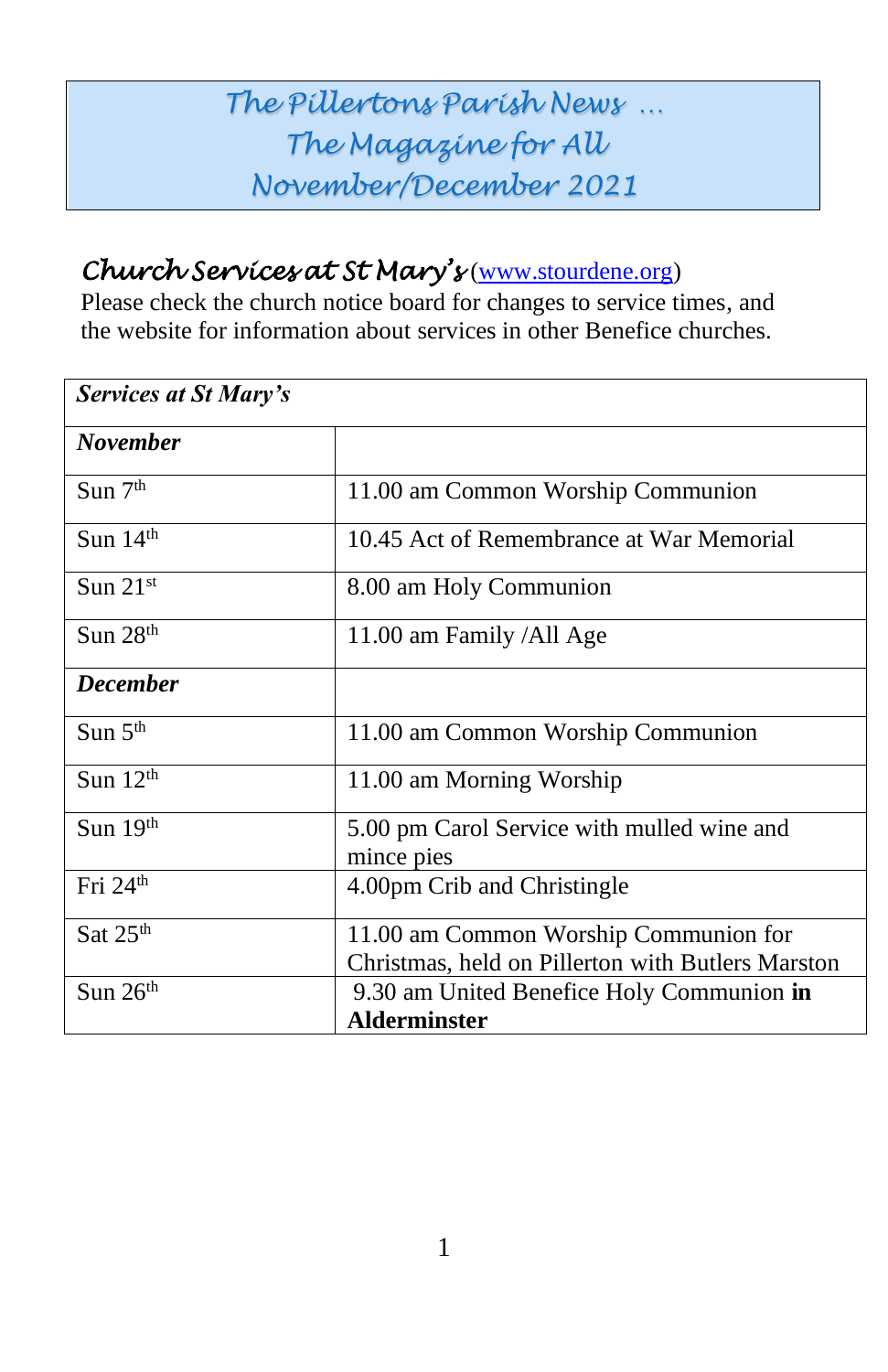# *The Pillertons Parish News … The Magazine for All November/December 2021*

## *Church Services at St Mary's* [\(www.stourdene.org\)](http://www.stourdene.org/)

Please check the church notice board for changes to service times, and the website for information about services in other Benefice churches.

| <b>Services at St Mary's</b> |                                                                                            |  |
|------------------------------|--------------------------------------------------------------------------------------------|--|
| <b>November</b>              |                                                                                            |  |
| $S$ un $7th$                 | 11.00 am Common Worship Communion                                                          |  |
| Sun $14th$                   | 10.45 Act of Remembrance at War Memorial                                                   |  |
| Sun $21st$                   | 8.00 am Holy Communion                                                                     |  |
| Sun $28th$                   | 11.00 am Family /All Age                                                                   |  |
| <b>December</b>              |                                                                                            |  |
| Sun $5th$                    | 11.00 am Common Worship Communion                                                          |  |
| Sun 12th                     | 11.00 am Morning Worship                                                                   |  |
| Sun $19th$                   | 5.00 pm Carol Service with mulled wine and<br>mince pies                                   |  |
| Fri $24th$                   | 4.00pm Crib and Christingle                                                                |  |
| Sat $25th$                   | 11.00 am Common Worship Communion for<br>Christmas, held on Pillerton with Butlers Marston |  |
| Sun 26th                     | 9.30 am United Benefice Holy Communion in<br><b>Alderminster</b>                           |  |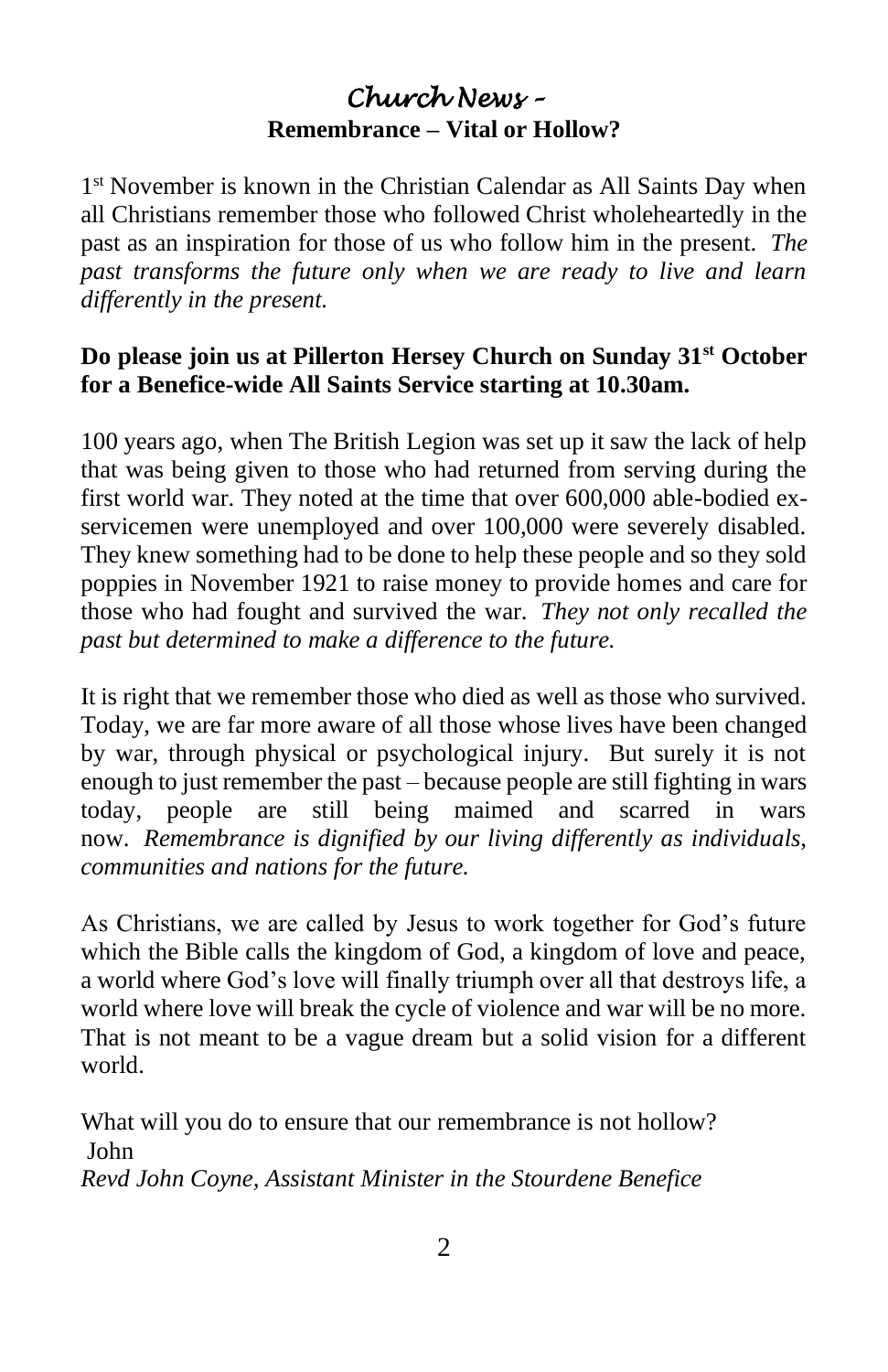### *Church News –*  **Remembrance – Vital or Hollow?**

1<sup>st</sup> November is known in the Christian Calendar as All Saints Day when all Christians remember those who followed Christ wholeheartedly in the past as an inspiration for those of us who follow him in the present. *The past transforms the future only when we are ready to live and learn differently in the present.*

#### **Do please join us at Pillerton Hersey Church on Sunday 31st October for a Benefice-wide All Saints Service starting at 10.30am.**

100 years ago, when The British Legion was set up it saw the lack of help that was being given to those who had returned from serving during the first world war. They noted at the time that over 600,000 able-bodied exservicemen were unemployed and over 100,000 were severely disabled. They knew something had to be done to help these people and so they sold poppies in November 1921 to raise money to provide homes and care for those who had fought and survived the war. *They not only recalled the past but determined to make a difference to the future.*

It is right that we remember those who died as well as those who survived. Today, we are far more aware of all those whose lives have been changed by war, through physical or psychological injury. But surely it is not enough to just remember the past – because people are still fighting in wars today, people are still being maimed and scarred in wars now. *Remembrance is dignified by our living differently as individuals, communities and nations for the future.*

As Christians, we are called by Jesus to work together for God's future which the Bible calls the kingdom of God, a kingdom of love and peace, a world where God's love will finally triumph over all that destroys life, a world where love will break the cycle of violence and war will be no more. That is not meant to be a vague dream but a solid vision for a different world.

What will you do to ensure that our remembrance is not hollow? John *Revd John Coyne, Assistant Minister in the Stourdene Benefice*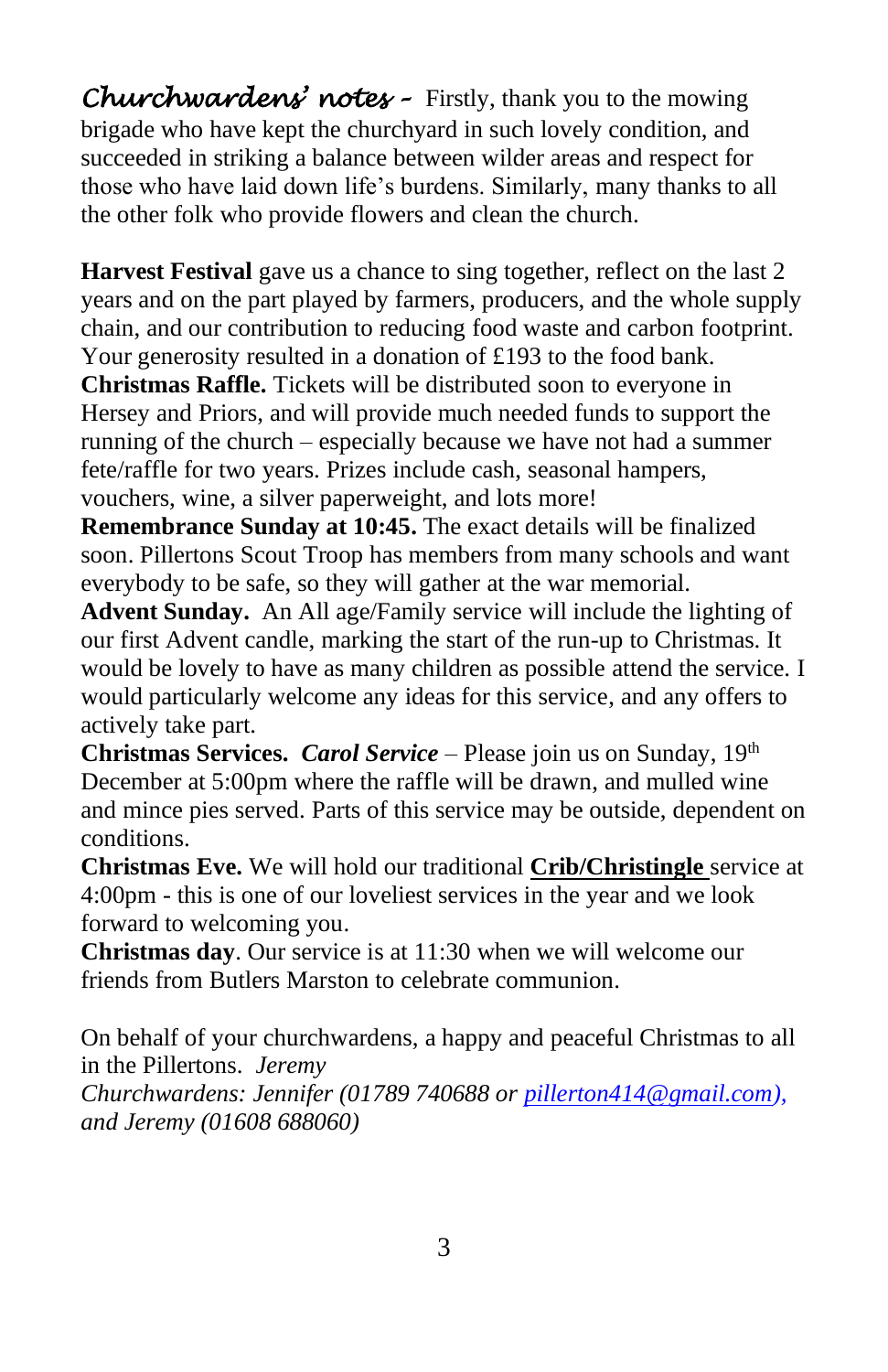*Churchwardens' notes –* Firstly, thank you to the mowing brigade who have kept the churchyard in such lovely condition, and succeeded in striking a balance between wilder areas and respect for those who have laid down life's burdens. Similarly, many thanks to all the other folk who provide flowers and clean the church.

**Harvest Festival** gave us a chance to sing together, reflect on the last 2 years and on the part played by farmers, producers, and the whole supply chain, and our contribution to reducing food waste and carbon footprint. Your generosity resulted in a donation of £193 to the food bank. **Christmas Raffle.** Tickets will be distributed soon to everyone in Hersey and Priors, and will provide much needed funds to support the

running of the church – especially because we have not had a summer fete/raffle for two years. Prizes include cash, seasonal hampers, vouchers, wine, a silver paperweight, and lots more!

**Remembrance Sunday at 10:45.** The exact details will be finalized soon. Pillertons Scout Troop has members from many schools and want everybody to be safe, so they will gather at the war memorial.

**Advent Sunday.** An All age/Family service will include the lighting of our first Advent candle, marking the start of the run-up to Christmas. It would be lovely to have as many children as possible attend the service. I would particularly welcome any ideas for this service, and any offers to actively take part.

**Christmas Services.** *Carol Service* – Please join us on Sunday, 19<sup>th</sup> December at 5:00pm where the raffle will be drawn, and mulled wine and mince pies served. Parts of this service may be outside, dependent on conditions.

**Christmas Eve.** We will hold our traditional **Crib/Christingle** service at 4:00pm - this is one of our loveliest services in the year and we look forward to welcoming you.

**Christmas day**. Our service is at 11:30 when we will welcome our friends from Butlers Marston to celebrate communion.

On behalf of your churchwardens, a happy and peaceful Christmas to all in the Pillertons. *Jeremy Churchwardens: Jennifer (01789 740688 or [pillerton414@gmail.com\)](mailto:pillerton414@gmail.com),*

*and Jeremy (01608 688060)*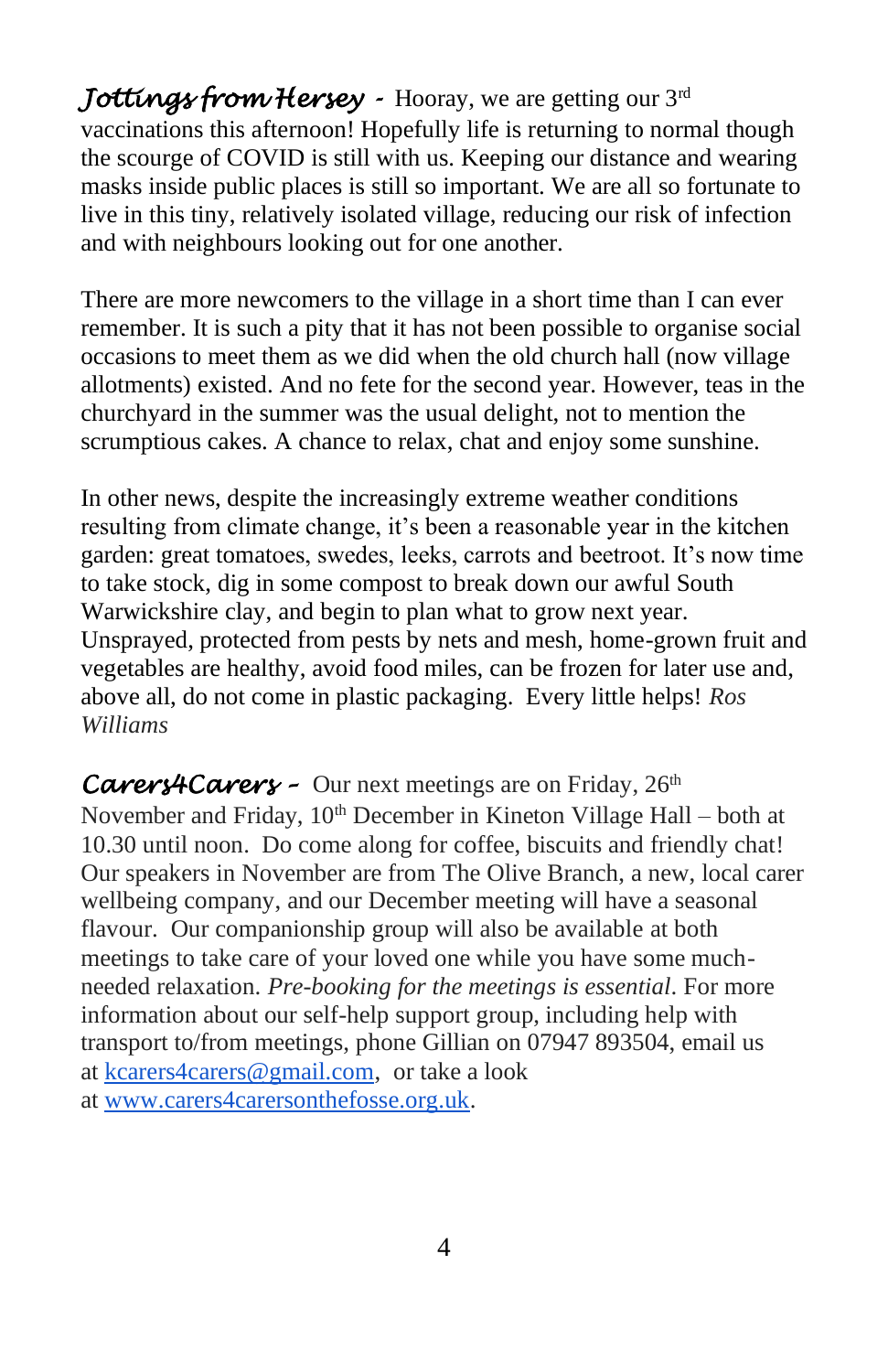*Jottings from Hersey -* Hooray, we are getting our 3rd vaccinations this afternoon! Hopefully life is returning to normal though the scourge of COVID is still with us. Keeping our distance and wearing masks inside public places is still so important. We are all so fortunate to live in this tiny, relatively isolated village, reducing our risk of infection and with neighbours looking out for one another.

There are more newcomers to the village in a short time than I can ever remember. It is such a pity that it has not been possible to organise social occasions to meet them as we did when the old church hall (now village allotments) existed. And no fete for the second year. However, teas in the churchyard in the summer was the usual delight, not to mention the scrumptious cakes. A chance to relax, chat and enjoy some sunshine.

In other news, despite the increasingly extreme weather conditions resulting from climate change, it's been a reasonable year in the kitchen garden: great tomatoes, swedes, leeks, carrots and beetroot. It's now time to take stock, dig in some compost to break down our awful South Warwickshire clay, and begin to plan what to grow next year. Unsprayed, protected from pests by nets and mesh, home-grown fruit and vegetables are healthy, avoid food miles, can be frozen for later use and, above all, do not come in plastic packaging. Every little helps! *Ros Williams*

*Carers4Carers –* Our next meetings are on Friday, 26<sup>th</sup> November and Friday, 10<sup>th</sup> December in Kineton Village Hall – both at 10.30 until noon. Do come along for coffee, biscuits and friendly chat! Our speakers in November are from The Olive Branch, a new, local carer wellbeing company, and our December meeting will have a seasonal flavour. Our companionship group will also be available at both meetings to take care of your loved one while you have some muchneeded relaxation. *Pre-booking for the meetings is essential*. For more information about our self-help support group, including help with transport to/from meetings, phone Gillian on 07947 893504, email us at [kcarers4carers@gmail.com,](mailto:kcarers4carers@gmail.com) or take a look at [www.carers4carersonthefosse.org.uk.](http://www.carers4carersonthefosse.org.uk/)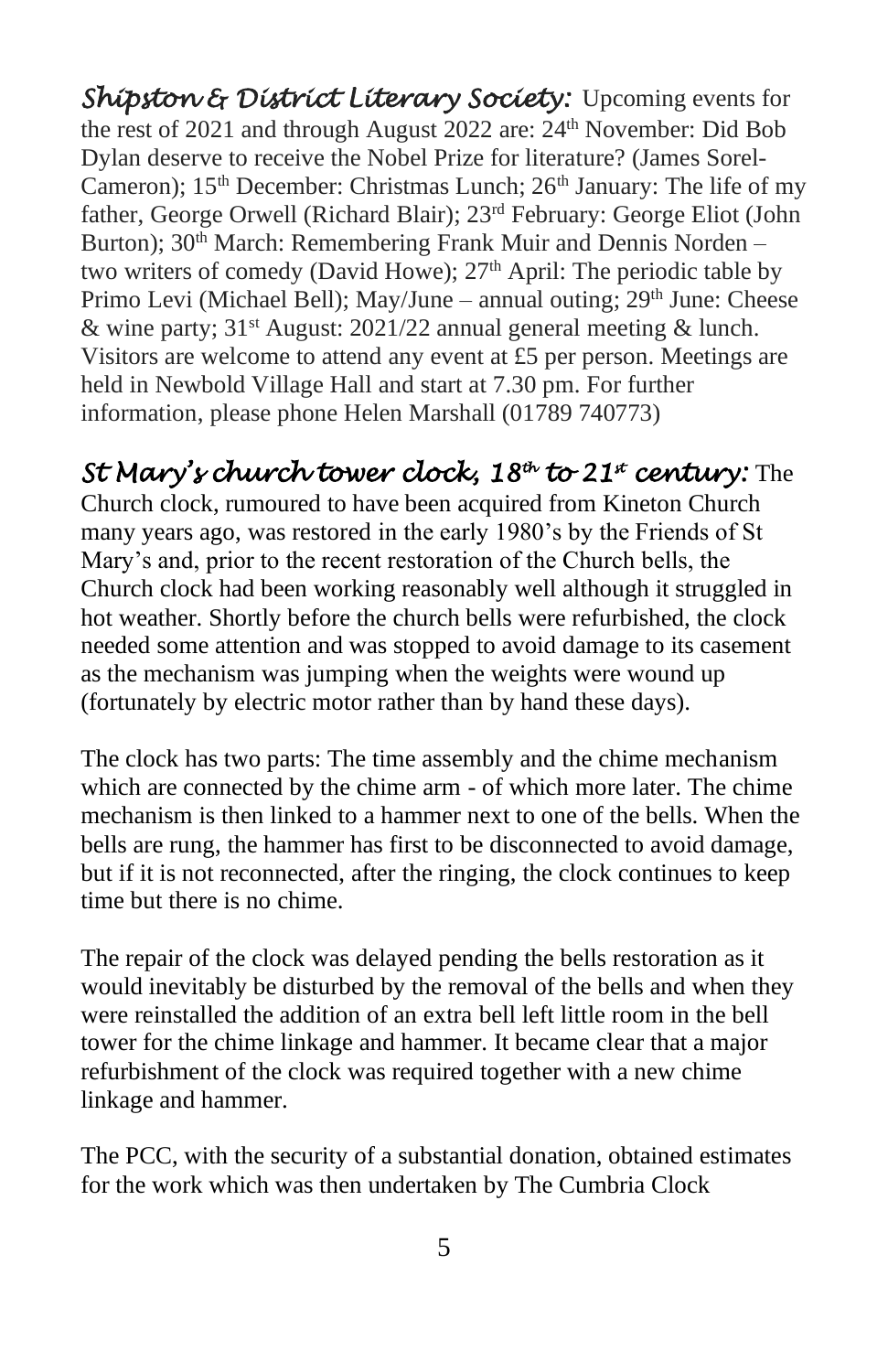*Shipston & District Literary Society:* Upcoming events for the rest of 2021 and through August 2022 are:  $24<sup>th</sup>$  November: Did Bob Dylan deserve to receive the Nobel Prize for literature? (James Sorel-Cameron);  $15<sup>th</sup>$  December: Christmas Lunch;  $26<sup>th</sup>$  January: The life of my father, George Orwell (Richard Blair); 23rd February: George Eliot (John Burton); 30<sup>th</sup> March: Remembering Frank Muir and Dennis Norden – two writers of comedy (David Howe);  $27<sup>th</sup>$  April: The periodic table by Primo Levi (Michael Bell); May/June – annual outing; 29<sup>th</sup> June: Cheese & wine party;  $31$ <sup>st</sup> August:  $2021/22$  annual general meeting & lunch. Visitors are welcome to attend any event at £5 per person. Meetings are held in Newbold Village Hall and start at 7.30 pm. For further information, please phone Helen Marshall (01789 740773)

## *St Mary's church tower clock, 18th to 21st century:* The

Church clock, rumoured to have been acquired from Kineton Church many years ago, was restored in the early 1980's by the Friends of St Mary's and, prior to the recent restoration of the Church bells, the Church clock had been working reasonably well although it struggled in hot weather. Shortly before the church bells were refurbished, the clock needed some attention and was stopped to avoid damage to its casement as the mechanism was jumping when the weights were wound up (fortunately by electric motor rather than by hand these days).

The clock has two parts: The time assembly and the chime mechanism which are connected by the chime arm - of which more later. The chime mechanism is then linked to a hammer next to one of the bells. When the bells are rung, the hammer has first to be disconnected to avoid damage, but if it is not reconnected, after the ringing, the clock continues to keep time but there is no chime.

The repair of the clock was delayed pending the bells restoration as it would inevitably be disturbed by the removal of the bells and when they were reinstalled the addition of an extra bell left little room in the bell tower for the chime linkage and hammer. It became clear that a major refurbishment of the clock was required together with a new chime linkage and hammer.

The PCC, with the security of a substantial donation, obtained estimates for the work which was then undertaken by The Cumbria Clock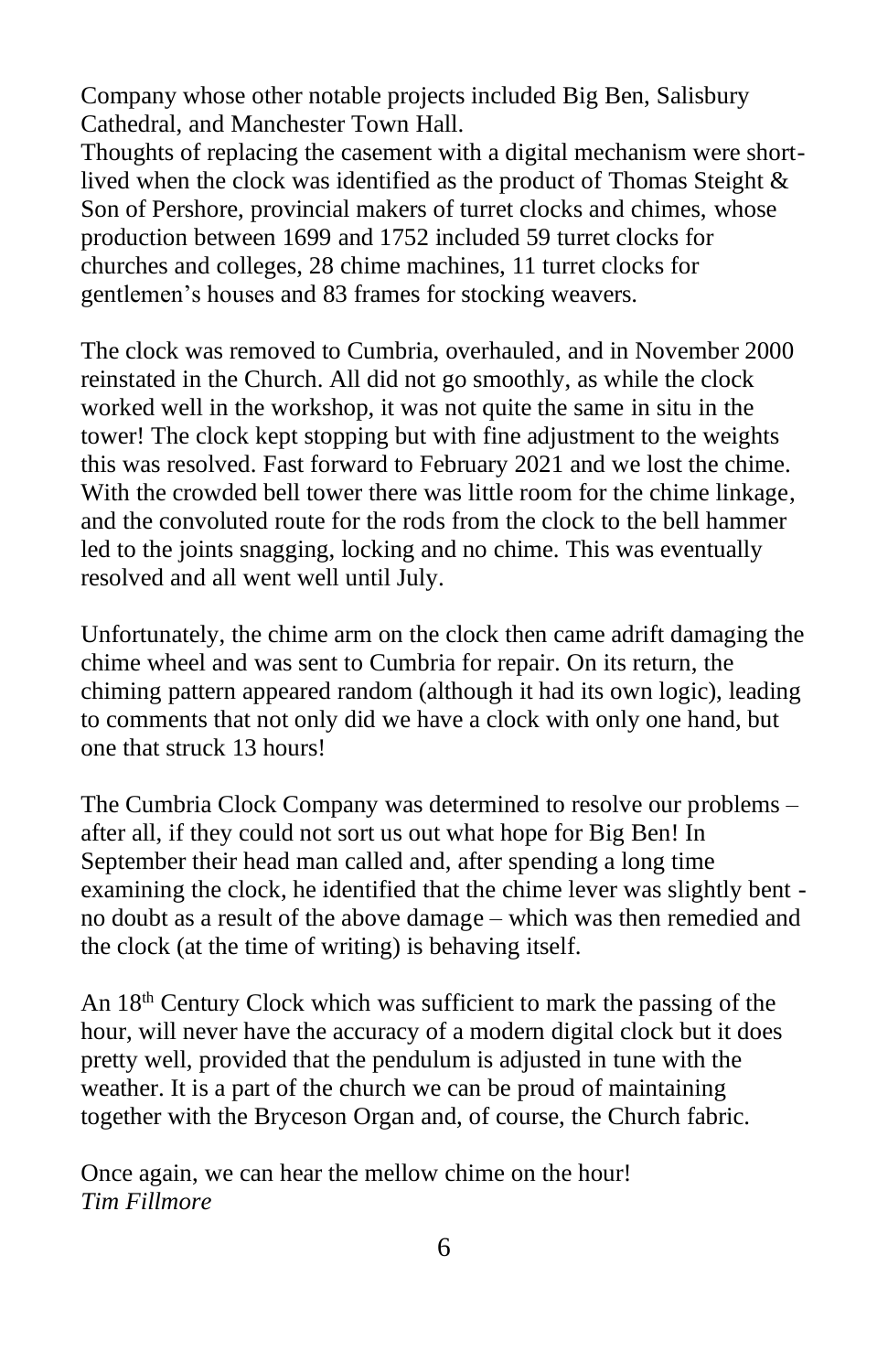Company whose other notable projects included Big Ben, Salisbury Cathedral, and Manchester Town Hall.

Thoughts of replacing the casement with a digital mechanism were shortlived when the clock was identified as the product of Thomas Steight & Son of Pershore, provincial makers of turret clocks and chimes, whose production between 1699 and 1752 included 59 turret clocks for churches and colleges, 28 chime machines, 11 turret clocks for gentlemen's houses and 83 frames for stocking weavers.

The clock was removed to Cumbria, overhauled, and in November 2000 reinstated in the Church. All did not go smoothly, as while the clock worked well in the workshop, it was not quite the same in situ in the tower! The clock kept stopping but with fine adjustment to the weights this was resolved. Fast forward to February 2021 and we lost the chime. With the crowded bell tower there was little room for the chime linkage, and the convoluted route for the rods from the clock to the bell hammer led to the joints snagging, locking and no chime. This was eventually resolved and all went well until July.

Unfortunately, the chime arm on the clock then came adrift damaging the chime wheel and was sent to Cumbria for repair. On its return, the chiming pattern appeared random (although it had its own logic), leading to comments that not only did we have a clock with only one hand, but one that struck 13 hours!

The Cumbria Clock Company was determined to resolve our problems – after all, if they could not sort us out what hope for Big Ben! In September their head man called and, after spending a long time examining the clock, he identified that the chime lever was slightly bent no doubt as a result of the above damage – which was then remedied and the clock (at the time of writing) is behaving itself.

An 18<sup>th</sup> Century Clock which was sufficient to mark the passing of the hour, will never have the accuracy of a modern digital clock but it does pretty well, provided that the pendulum is adjusted in tune with the weather. It is a part of the church we can be proud of maintaining together with the Bryceson Organ and, of course, the Church fabric.

Once again, we can hear the mellow chime on the hour! *Tim Fillmore*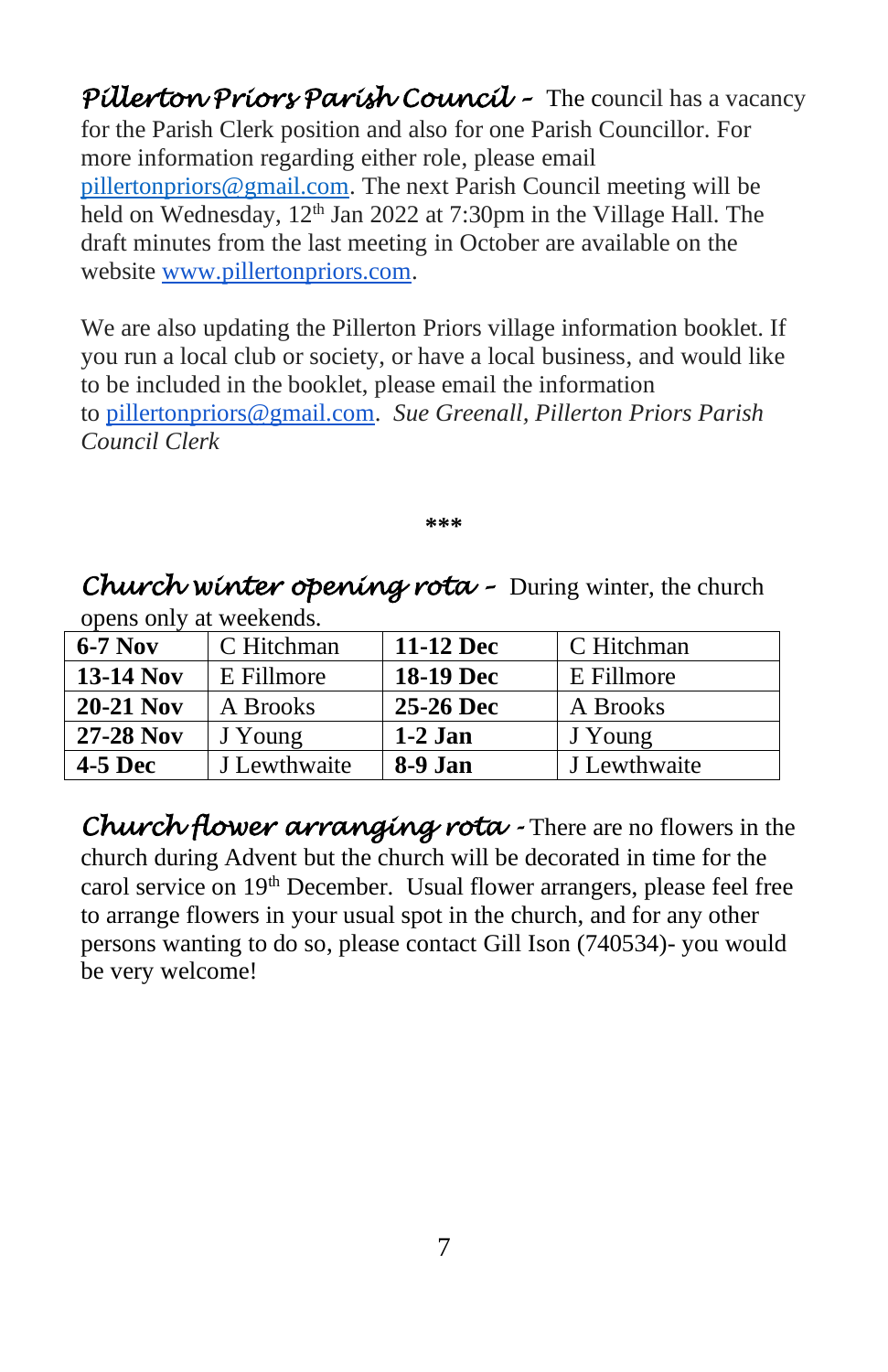*Pillerton Priors Parish Council –* The council has a vacancy for the Parish Clerk position and also for one Parish Councillor. For more information regarding either role, please email [pillertonpriors@gmail.com.](mailto:pillertonpriors@gmail.com) The next Parish Council meeting will be held on Wednesday, 12<sup>th</sup> Jan 2022 at 7:30pm in the Village Hall. The draft minutes from the last meeting in October are available on the website [www.pillertonpriors.com.](http://www.pillertonpriors.com/)

We are also updating the Pillerton Priors village information booklet. If you run a local club or society, or have a local business, and would like to be included in the booklet, please email the information to [pillertonpriors@gmail.com.](mailto:pillertonpriors@gmail.com) *Sue Greenall, Pillerton Priors Parish Council Clerk*

**\*\*\***

*Church winter opening rota –* During winter, the church opens only at weekends.

| $6-7$ Nov        | C Hitchman   | 11-12 Dec        | C Hitchman   |
|------------------|--------------|------------------|--------------|
| <b>13-14 Nov</b> | E Fillmore   | <b>18-19 Dec</b> | E Fillmore   |
| <b>20-21 Nov</b> | A Brooks     | 25-26 Dec        | A Brooks     |
| 27-28 Nov        | J Young      | $1-2$ Jan        | J Young      |
| $4-5$ Dec        | J Lewthwaite | 8-9 Jan          | J Lewthwaite |

*Church flower arranging rota -* There are no flowers in the church during Advent but the church will be decorated in time for the carol service on 19th December. Usual flower arrangers, please feel free to arrange flowers in your usual spot in the church, and for any other persons wanting to do so, please contact Gill Ison (740534)- you would be very welcome!